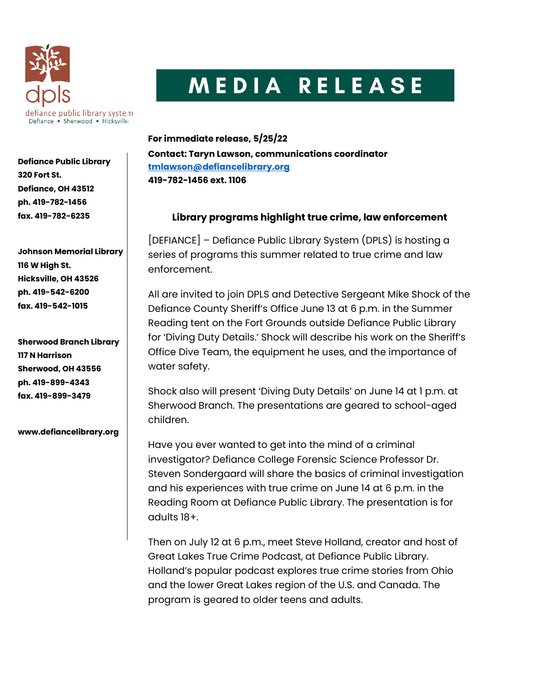

Defiance Public Library 320 Fort St. Defiance, OH 43512 ph. 419-782-1456 fax. 419-782-6235

Johnson Memorial Library 116 W High St. Hicksville, OH 43526 ph. 419-542-6200 fax. 419-542-1015

Sherwood Branch Library 117 N Harrison Sherwood, OH 43556 ph. 419-899-4343 fax. 419-899-3479

www.defiancelibrary.org

## MEDIA RELEASE

For immediate release, 5/25/22 Contact: Taryn Lawson, communications coordinator tmlawson@defiancelibrary.org 419-782-1456 ext. 1106

## Library programs highlight true crime, law enforcement

[DEFIANCE] – Defiance Public Library System (DPLS) is hosting a series of programs this summer related to true crime and law enforcement.

All are invited to join DPLS and Detective Sergeant Mike Shock of the Defiance County Sheriff's Office June 13 at 6 p.m. in the Summer Reading tent on the Fort Grounds outside Defiance Public Library for 'Diving Duty Details.' Shock will describe his work on the Sheriff's Office Dive Team, the equipment he uses, and the importance of water safety.

Shock also will present 'Diving Duty Details' on June 14 at 1 p.m. at Sherwood Branch. The presentations are geared to school-aged children.

Have you ever wanted to get into the mind of a criminal investigator? Defiance College Forensic Science Professor Dr. Steven Sondergaard will share the basics of criminal investigation and his experiences with true crime on June 14 at 6 p.m. in the Reading Room at Defiance Public Library. The presentation is for adults 18+.

Then on July 12 at 6 p.m., meet Steve Holland, creator and host of Great Lakes True Crime Podcast, at Defiance Public Library. Holland's popular podcast explores true crime stories from Ohio and the lower Great Lakes region of the U.S. and Canada. The program is geared to older teens and adults.